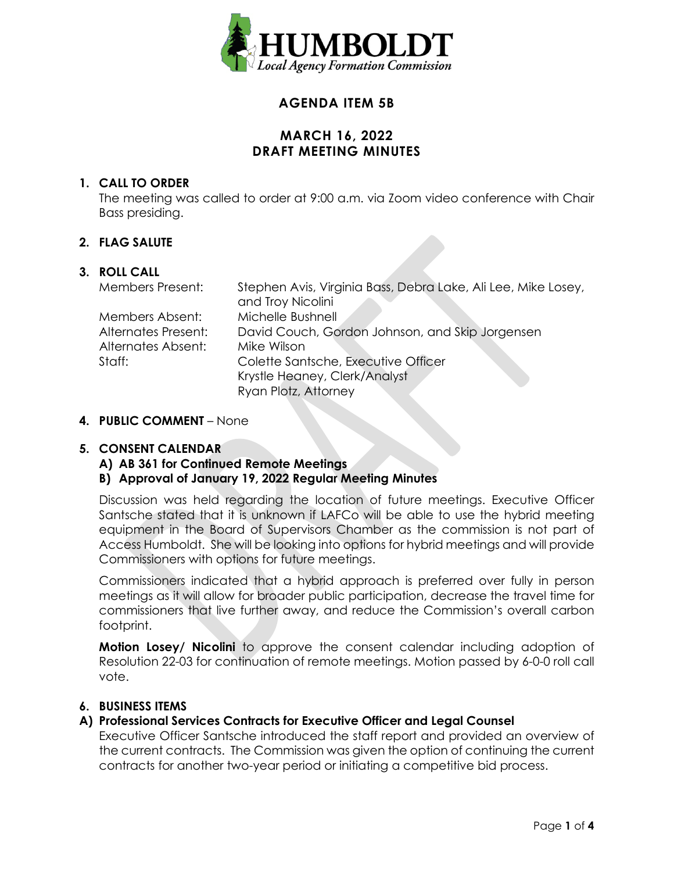

# **AGENDA ITEM 5B**

## **MARCH 16, 2022 DRAFT MEETING MINUTES**

### **1. CALL TO ORDER**

The meeting was called to order at 9:00 a.m. via Zoom video conference with Chair Bass presiding.

### **2. FLAG SALUTE**

#### **3. ROLL CALL**

| <b>Members Present:</b> | Stephen Avis, Virginia Bass, Debra Lake, Ali Lee, Mike Losey,<br>and Troy Nicolini |
|-------------------------|------------------------------------------------------------------------------------|
| Members Absent:         | Michelle Bushnell                                                                  |
| Alternates Present:     | David Couch, Gordon Johnson, and Skip Jorgensen                                    |
| Alternates Absent:      | Mike Wilson                                                                        |
| Staff:                  | Colette Santsche, Executive Officer                                                |
|                         | Krystle Heaney, Clerk/Analyst                                                      |
|                         | Ryan Plotz, Attorney                                                               |

#### **4. PUBLIC COMMENT** – None

#### **5. CONSENT CALENDAR**

**A) AB 361 for Continued Remote Meetings**

### **B) Approval of January 19, 2022 Regular Meeting Minutes**

Discussion was held regarding the location of future meetings. Executive Officer Santsche stated that it is unknown if LAFCo will be able to use the hybrid meeting equipment in the Board of Supervisors Chamber as the commission is not part of Access Humboldt. She will be looking into options for hybrid meetings and will provide Commissioners with options for future meetings.

Commissioners indicated that a hybrid approach is preferred over fully in person meetings as it will allow for broader public participation, decrease the travel time for commissioners that live further away, and reduce the Commission's overall carbon footprint.

**Motion Losey/ Nicolini** to approve the consent calendar including adoption of Resolution 22-03 for continuation of remote meetings. Motion passed by 6-0-0 roll call vote.

### **6. BUSINESS ITEMS**

### **A) Professional Services Contracts for Executive Officer and Legal Counsel**

Executive Officer Santsche introduced the staff report and provided an overview of the current contracts. The Commission was given the option of continuing the current contracts for another two-year period or initiating a competitive bid process.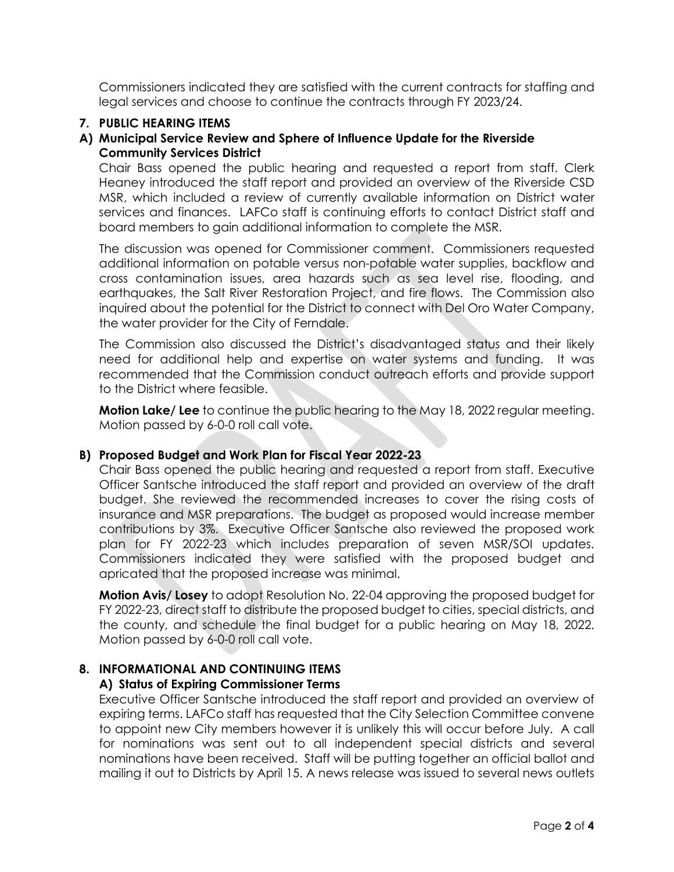Commissioners indicated they are satisfied with the current contracts for staffing and legal services and choose to continue the contracts through FY 2023/24.

### **7. PUBLIC HEARING ITEMS**

### **A) Municipal Service Review and Sphere of Influence Update for the Riverside Community Services District**

Chair Bass opened the public hearing and requested a report from staff. Clerk Heaney introduced the staff report and provided an overview of the Riverside CSD MSR, which included a review of currently available information on District water services and finances. LAFCo staff is continuing efforts to contact District staff and board members to gain additional information to complete the MSR.

The discussion was opened for Commissioner comment. Commissioners requested additional information on potable versus non-potable water supplies, backflow and cross contamination issues, area hazards such as sea level rise, flooding, and earthquakes, the Salt River Restoration Project, and fire flows. The Commission also inquired about the potential for the District to connect with Del Oro Water Company, the water provider for the City of Ferndale.

The Commission also discussed the District's disadvantaged status and their likely need for additional help and expertise on water systems and funding. It was recommended that the Commission conduct outreach efforts and provide support to the District where feasible.

**Motion Lake/ Lee** to continue the public hearing to the May 18, 2022 regular meeting. Motion passed by 6-0-0 roll call vote.

### **B) Proposed Budget and Work Plan for Fiscal Year 2022-23**

Chair Bass opened the public hearing and requested a report from staff. Executive Officer Santsche introduced the staff report and provided an overview of the draft budget. She reviewed the recommended increases to cover the rising costs of insurance and MSR preparations. The budget as proposed would increase member contributions by 3%. Executive Officer Santsche also reviewed the proposed work plan for FY 2022-23 which includes preparation of seven MSR/SOI updates. Commissioners indicated they were satisfied with the proposed budget and apricated that the proposed increase was minimal.

**Motion Avis/ Losey** to adopt Resolution No. 22-04 approving the proposed budget for FY 2022-23, direct staff to distribute the proposed budget to cities, special districts, and the county, and schedule the final budget for a public hearing on May 18, 2022. Motion passed by 6-0-0 roll call vote.

## **8. INFORMATIONAL AND CONTINUING ITEMS**

## **A) Status of Expiring Commissioner Terms**

Executive Officer Santsche introduced the staff report and provided an overview of expiring terms. LAFCo staff has requested that the City Selection Committee convene to appoint new City members however it is unlikely this will occur before July. A call for nominations was sent out to all independent special districts and several nominations have been received. Staff will be putting together an official ballot and mailing it out to Districts by April 15. A news release was issued to several news outlets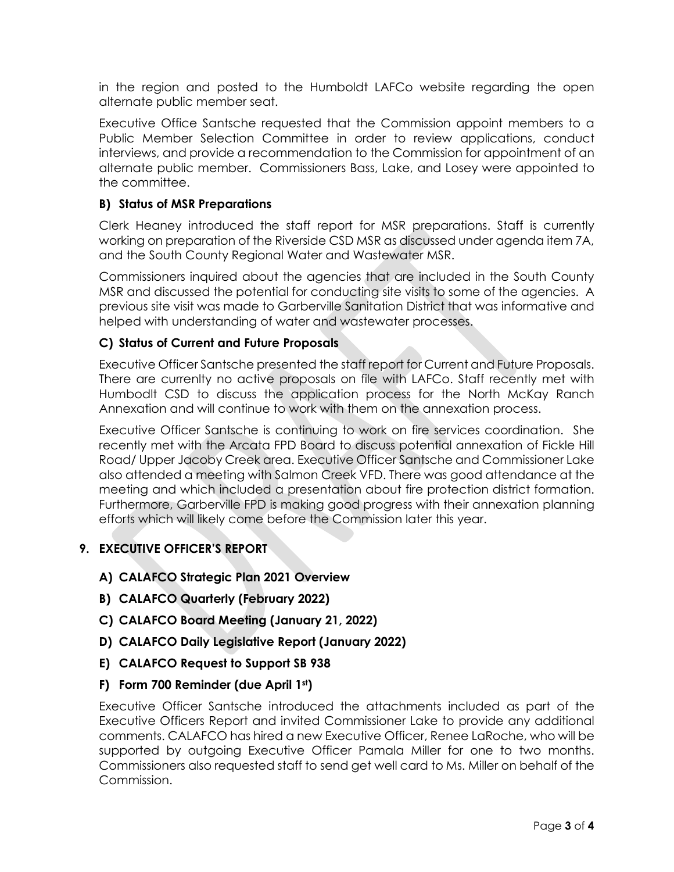in the region and posted to the Humboldt LAFCo website regarding the open alternate public member seat.

Executive Office Santsche requested that the Commission appoint members to a Public Member Selection Committee in order to review applications, conduct interviews, and provide a recommendation to the Commission for appointment of an alternate public member. Commissioners Bass, Lake, and Losey were appointed to the committee.

### **B) Status of MSR Preparations**

Clerk Heaney introduced the staff report for MSR preparations. Staff is currently working on preparation of the Riverside CSD MSR as discussed under agenda item 7A, and the South County Regional Water and Wastewater MSR.

Commissioners inquired about the agencies that are included in the South County MSR and discussed the potential for conducting site visits to some of the agencies. A previous site visit was made to Garberville Sanitation District that was informative and helped with understanding of water and wastewater processes.

### **C) Status of Current and Future Proposals**

Executive Officer Santsche presented the staff report for Current and Future Proposals. There are currenlty no active proposals on file with LAFCo. Staff recently met with Humbodlt CSD to discuss the application process for the North McKay Ranch Annexation and will continue to work with them on the annexation process.

Executive Officer Santsche is continuing to work on fire services coordination. She recently met with the Arcata FPD Board to discuss potential annexation of Fickle Hill Road/ Upper Jacoby Creek area. Executive Officer Santsche and Commissioner Lake also attended a meeting with Salmon Creek VFD. There was good attendance at the meeting and which included a presentation about fire protection district formation. Furthermore, Garberville FPD is making good progress with their annexation planning efforts which will likely come before the Commission later this year.

## **9. EXECUTIVE OFFICER'S REPORT**

- **A) CALAFCO Strategic Plan 2021 Overview**
- **B) CALAFCO Quarterly (February 2022)**
- **C) CALAFCO Board Meeting (January 21, 2022)**
- **D) CALAFCO Daily Legislative Report (January 2022)**
- **E) CALAFCO Request to Support SB 938**
- **F) Form 700 Reminder (due April 1st)**

Executive Officer Santsche introduced the attachments included as part of the Executive Officers Report and invited Commissioner Lake to provide any additional comments. CALAFCO has hired a new Executive Officer, Renee LaRoche, who will be supported by outgoing Executive Officer Pamala Miller for one to two months. Commissioners also requested staff to send get well card to Ms. Miller on behalf of the Commission.